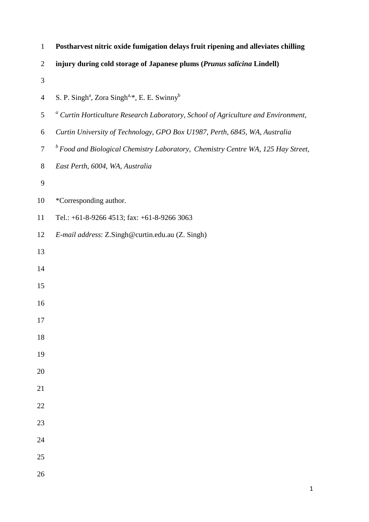| $\mathbf{1}$    | Postharvest nitric oxide fumigation delays fruit ripening and alleviates chilling            |
|-----------------|----------------------------------------------------------------------------------------------|
| $\overline{2}$  | injury during cold storage of Japanese plums (Prunus salicina Lindell)                       |
| 3               |                                                                                              |
| $\overline{4}$  | S. P. Singh <sup>a</sup> , Zora Singh <sup>a,*</sup> , E. E. Swinny <sup>b</sup>             |
| 5               | <sup>a</sup> Curtin Horticulture Research Laboratory, School of Agriculture and Environment, |
| 6               | Curtin University of Technology, GPO Box U1987, Perth, 6845, WA, Australia                   |
| $\tau$          | <sup>b</sup> Food and Biological Chemistry Laboratory, Chemistry Centre WA, 125 Hay Street,  |
| 8               | East Perth, 6004, WA, Australia                                                              |
| 9               |                                                                                              |
| 10              | *Corresponding author.                                                                       |
| 11              | Tel.: $+61-8-9266$ 4513; fax: $+61-8-9266$ 3063                                              |
| 12              | E-mail address: Z.Singh@curtin.edu.au (Z. Singh)                                             |
| 13              |                                                                                              |
| 14              |                                                                                              |
| 15              |                                                                                              |
| 16              |                                                                                              |
| 17              |                                                                                              |
| 18              |                                                                                              |
| 19              |                                                                                              |
| 20              |                                                                                              |
| 21              |                                                                                              |
| $\overline{22}$ |                                                                                              |
| 23              |                                                                                              |
| 24              |                                                                                              |
| 25              |                                                                                              |
|                 |                                                                                              |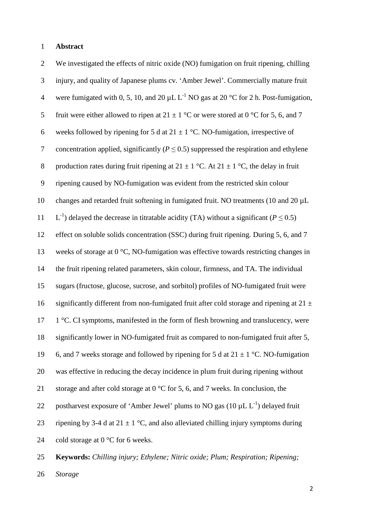#### 1 **Abstract**

2 We investigated the effects of nitric oxide (NO) fumigation on fruit ripening, chilling 3 injury, and quality of Japanese plums cv. 'Amber Jewel'. Commercially mature fruit 4 were fumigated with 0, 5, 10, and 20  $\mu$ L L<sup>-1</sup> NO gas at 20 °C for 2 h. Post-fumigation, 5 fruit were either allowed to ripen at  $21 \pm 1$  °C or were stored at 0 °C for 5, 6, and 7 6 weeks followed by ripening for 5 d at  $21 \pm 1$  °C. NO-fumigation, irrespective of 7 concentration applied, significantly  $(P < 0.5)$  suppressed the respiration and ethylene 8 production rates during fruit ripening at  $21 \pm 1$  °C. At  $21 \pm 1$  °C, the delay in fruit 9 ripening caused by NO-fumigation was evident from the restricted skin colour 10 changes and retarded fruit softening in fumigated fruit. NO treatments (10 and 20 uL 11  $\rm L^{-1}$ ) delayed the decrease in titratable acidity (TA) without a significant (*P* ≤ 0.5) 12 effect on soluble solids concentration (SSC) during fruit ripening. During 5, 6, and 7 13 weeks of storage at 0 °C, NO-fumigation was effective towards restricting changes in 14 the fruit ripening related parameters, skin colour, firmness, and TA. The individual 15 sugars (fructose, glucose, sucrose, and sorbitol) profiles of NO-fumigated fruit were 16 significantly different from non-fumigated fruit after cold storage and ripening at  $21 \pm$ 17 1 °C. CI symptoms, manifested in the form of flesh browning and translucency, were 18 significantly lower in NO-fumigated fruit as compared to non-fumigated fruit after 5, 19 6, and 7 weeks storage and followed by ripening for 5 d at  $21 \pm 1$  °C. NO-fumigation 20 was effective in reducing the decay incidence in plum fruit during ripening without 21 storage and after cold storage at  $0^{\circ}$ C for 5, 6, and 7 weeks. In conclusion, the 22 postharvest exposure of 'Amber Jewel' plums to NO gas  $(10 \mu L L^{-1})$  delayed fruit 23 ripening by 3-4 d at  $21 \pm 1$  °C, and also alleviated chilling injury symptoms during 24 cold storage at  $0^{\circ}$ C for 6 weeks. 25 **Keywords:** *Chilling injury; Ethylene; Nitric oxide; Plum; Respiration; Ripening;* 

26 *Storage*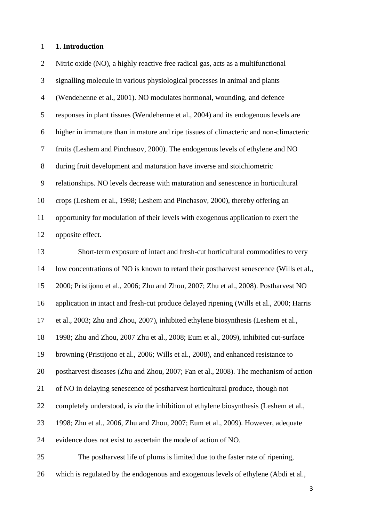# **1. Introduction**

| $\overline{2}$ | Nitric oxide (NO), a highly reactive free radical gas, acts as a multifunctional             |
|----------------|----------------------------------------------------------------------------------------------|
| 3              | signalling molecule in various physiological processes in animal and plants                  |
| $\overline{4}$ | (Wendehenne et al., 2001). NO modulates hormonal, wounding, and defence                      |
| $\mathfrak{S}$ | responses in plant tissues (Wendehenne et al., 2004) and its endogenous levels are           |
| 6              | higher in immature than in mature and ripe tissues of climacteric and non-climacteric        |
| $\tau$         | fruits (Leshem and Pinchasov, 2000). The endogenous levels of ethylene and NO                |
| $8\,$          | during fruit development and maturation have inverse and stoichiometric                      |
| $\mathbf{9}$   | relationships. NO levels decrease with maturation and senescence in horticultural            |
| 10             | crops (Leshem et al., 1998; Leshem and Pinchasov, 2000), thereby offering an                 |
| 11             | opportunity for modulation of their levels with exogenous application to exert the           |
| 12             | opposite effect.                                                                             |
| 13             | Short-term exposure of intact and fresh-cut horticultural commodities to very                |
| 14             | low concentrations of NO is known to retard their postharvest senescence (Wills et al.,      |
| 15             | 2000; Pristijono et al., 2006; Zhu and Zhou, 2007; Zhu et al., 2008). Postharvest NO         |
| 16             | application in intact and fresh-cut produce delayed ripening (Wills et al., 2000; Harris     |
| 17             | et al., 2003; Zhu and Zhou, 2007), inhibited ethylene biosynthesis (Leshem et al.,           |
| 18             | 1998; Zhu and Zhou, 2007 Zhu et al., 2008; Eum et al., 2009), inhibited cut-surface          |
| 19             | browning (Pristijono et al., 2006; Wills et al., 2008), and enhanced resistance to           |
| 20             | postharvest diseases (Zhu and Zhou, 2007; Fan et al., 2008). The mechanism of action         |
| 21             | of NO in delaying senescence of postharvest horticultural produce, though not                |
| 22             | completely understood, is <i>via</i> the inhibition of ethylene biosynthesis (Leshem et al., |
| 23             | 1998; Zhu et al., 2006, Zhu and Zhou, 2007; Eum et al., 2009). However, adequate             |
| 24             | evidence does not exist to ascertain the mode of action of NO.                               |
| 25             | The postharvest life of plums is limited due to the faster rate of ripening,                 |
| 26             | which is regulated by the endogenous and exogenous levels of ethylene (Abdi et al.,          |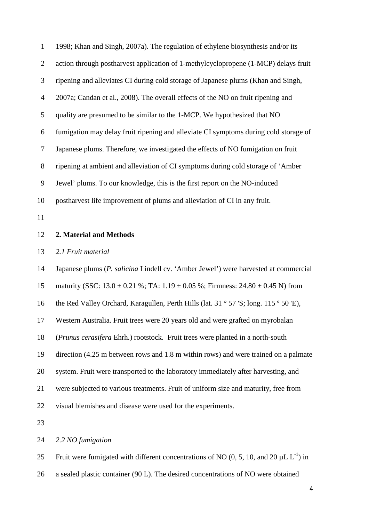| $\mathbf{1}$               | 1998; Khan and Singh, 2007a). The regulation of ethylene biosynthesis and/or its            |
|----------------------------|---------------------------------------------------------------------------------------------|
| $\overline{2}$             | action through postharvest application of 1-methylcyclopropene (1-MCP) delays fruit         |
| 3                          | ripening and alleviates CI during cold storage of Japanese plums (Khan and Singh,           |
| $\overline{4}$             | 2007a; Candan et al., 2008). The overall effects of the NO on fruit ripening and            |
| 5                          | quality are presumed to be similar to the 1-MCP. We hypothesized that NO                    |
| 6                          | fumigation may delay fruit ripening and alleviate CI symptoms during cold storage of        |
| $\boldsymbol{7}$           | Japanese plums. Therefore, we investigated the effects of NO fumigation on fruit            |
| 8                          | ripening at ambient and alleviation of CI symptoms during cold storage of 'Amber            |
| 9                          | Jewel' plums. To our knowledge, this is the first report on the NO-induced                  |
| 10                         | postharvest life improvement of plums and alleviation of CI in any fruit.                   |
| 11                         |                                                                                             |
| 12                         | 2. Material and Methods                                                                     |
|                            |                                                                                             |
| 13                         | 2.1 Fruit material                                                                          |
|                            | Japanese plums (P. salicina Lindell cv. 'Amber Jewel') were harvested at commercial         |
|                            | maturity (SSC: $13.0 \pm 0.21$ %; TA: $1.19 \pm 0.05$ %; Firmness: $24.80 \pm 0.45$ N) from |
| 16                         | the Red Valley Orchard, Karagullen, Perth Hills (lat. 31 ° 57 'S; long. 115 ° 50 'E),       |
| 17                         | Western Australia. Fruit trees were 20 years old and were grafted on myrobalan              |
| 18                         | (Prunus cerasifera Ehrh.) rootstock. Fruit trees were planted in a north-south              |
| 19                         | direction (4.25 m between rows and 1.8 m within rows) and were trained on a palmate         |
| 20                         | system. Fruit were transported to the laboratory immediately after harvesting, and          |
|                            | were subjected to various treatments. Fruit of uniform size and maturity, free from         |
|                            | visual blemishes and disease were used for the experiments.                                 |
| 14<br>15<br>21<br>22<br>23 |                                                                                             |
| 24                         | 2.2 NO fumigation                                                                           |

25 Fruit were fumigated with different concentrations of NO (0, 5, 10, and 20  $\mu$ L L<sup>-1</sup>) in a sealed plastic container (90 L). The desired concentrations of NO were obtained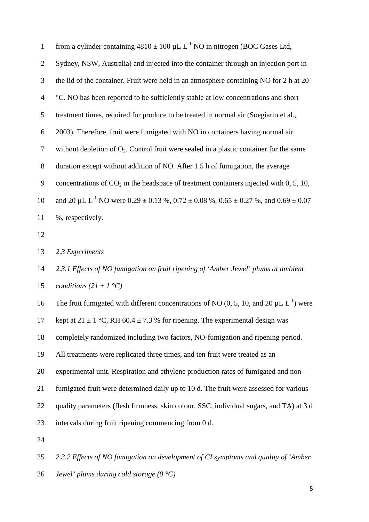| $\mathbf{1}$   | from a cylinder containing $4810 \pm 100 \,\mu L L^{-1}$ NO in nitrogen (BOC Gases Ltd,                  |
|----------------|----------------------------------------------------------------------------------------------------------|
| $\overline{2}$ | Sydney, NSW, Australia) and injected into the container through an injection port in                     |
| 3              | the lid of the container. Fruit were held in an atmosphere containing NO for 2 h at 20                   |
| $\overline{4}$ | °C. NO has been reported to be sufficiently stable at low concentrations and short                       |
| 5              | treatment times, required for produce to be treated in normal air (Soegiarto et al.,                     |
| 6              | 2003). Therefore, fruit were fumigated with NO in containers having normal air                           |
| $\tau$         | without depletion of $O_2$ . Control fruit were sealed in a plastic container for the same               |
| $8\phantom{.}$ | duration except without addition of NO. After 1.5 h of fumigation, the average                           |
| 9              | concentrations of $CO2$ in the headspace of treatment containers injected with 0, 5, 10,                 |
| 10             | and 20 $\mu$ L L <sup>-1</sup> NO were 0.29 ± 0.13 %, 0.72 ± 0.08 %, 0.65 ± 0.27 %, and 0.69 ± 0.07      |
| 11             | %, respectively.                                                                                         |
| 12             |                                                                                                          |
| 13             | 2.3 Experiments                                                                                          |
| 14             | 2.3.1 Effects of NO fumigation on fruit ripening of 'Amber Jewel' plums at ambient                       |
| 15             | conditions $(21 \pm 1 \degree C)$                                                                        |
| 16             | The fruit fumigated with different concentrations of NO (0, 5, 10, and 20 $\mu$ L L <sup>-1</sup> ) were |
| 17             | kept at $21 \pm 1$ °C, RH 60.4 $\pm$ 7.3 % for ripening. The experimental design was                     |
| 18             | completely randomized including two factors, NO-fumigation and ripening period.                          |
| 19             | All treatments were replicated three times, and ten fruit were treated as an                             |
| 20             | experimental unit. Respiration and ethylene production rates of fumigated and non-                       |
| 21             | fumigated fruit were determined daily up to 10 d. The fruit were assessed for various                    |
| 22             | quality parameters (flesh firmness, skin colour, SSC, individual sugars, and TA) at 3 d                  |
| 23             | intervals during fruit ripening commencing from 0 d.                                                     |
| 24             |                                                                                                          |
| 25             | 2.3.2 Effects of NO fumigation on development of CI symptoms and quality of 'Amber                       |
|                |                                                                                                          |

*Jewel' plums during cold storage (0 °C)*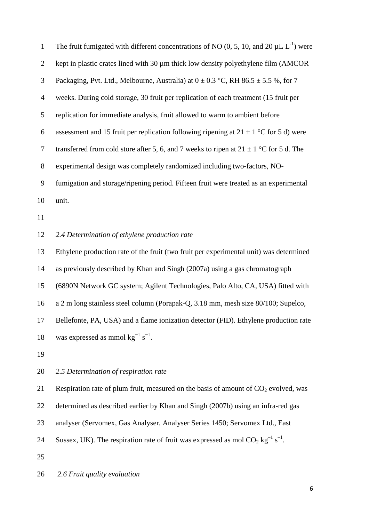| $\mathbf{1}$   | The fruit fumigated with different concentrations of NO (0, 5, 10, and 20 $\mu$ L L <sup>-1</sup> ) were  |
|----------------|-----------------------------------------------------------------------------------------------------------|
| $\overline{2}$ | kept in plastic crates lined with 30 µm thick low density polyethylene film (AMCOR                        |
| $\mathfrak{Z}$ | Packaging, Pvt. Ltd., Melbourne, Australia) at $0 \pm 0.3$ °C, RH 86.5 $\pm$ 5.5 %, for 7                 |
| $\overline{4}$ | weeks. During cold storage, 30 fruit per replication of each treatment (15 fruit per                      |
| $\mathfrak{S}$ | replication for immediate analysis, fruit allowed to warm to ambient before                               |
| 6              | assessment and 15 fruit per replication following ripening at $21 \pm 1$ °C for 5 d) were                 |
| $\tau$         | transferred from cold store after 5, 6, and 7 weeks to ripen at $21 \pm 1$ °C for 5 d. The                |
| $8\,$          | experimental design was completely randomized including two-factors, NO-                                  |
| 9              | fumigation and storage/ripening period. Fifteen fruit were treated as an experimental                     |
| 10             | unit.                                                                                                     |
| 11             |                                                                                                           |
| 12             | 2.4 Determination of ethylene production rate                                                             |
| 13             | Ethylene production rate of the fruit (two fruit per experimental unit) was determined                    |
| 14             | as previously described by Khan and Singh (2007a) using a gas chromatograph                               |
| 15             | (6890N Network GC system; Agilent Technologies, Palo Alto, CA, USA) fitted with                           |
| 16             | a 2 m long stainless steel column (Porapak-Q, 3.18 mm, mesh size 80/100; Supelco,                         |
| 17             | Bellefonte, PA, USA) and a flame ionization detector (FID). Ethylene production rate                      |
| 18             | was expressed as mmol $kg^{-1} s^{-1}$ .                                                                  |
| 19             |                                                                                                           |
| 20             | 2.5 Determination of respiration rate                                                                     |
| 21             | Respiration rate of plum fruit, measured on the basis of amount of $CO2$ evolved, was                     |
| 22             | determined as described earlier by Khan and Singh (2007b) using an infra-red gas                          |
| 23             | analyser (Servomex, Gas Analyser, Analyser Series 1450; Servomex Ltd., East                               |
| 24             | Sussex, UK). The respiration rate of fruit was expressed as mol $CO_2$ kg <sup>-1</sup> s <sup>-1</sup> . |
| 25             |                                                                                                           |
|                |                                                                                                           |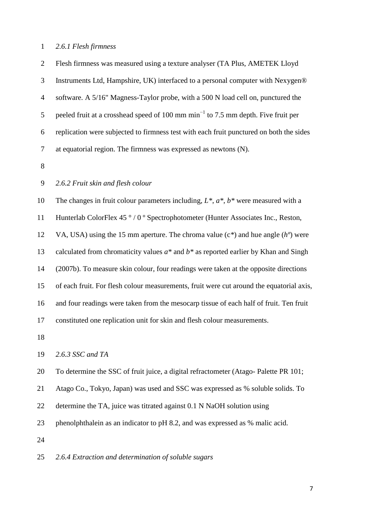### *2.6.1 Flesh firmness*

 Flesh firmness was measured using a texture analyser (TA Plus, AMETEK Lloyd Instruments Ltd, Hampshire, UK) interfaced to a personal computer with Nexygen® software. A 5/16" Magness-Taylor probe, with a 500 N load cell on, punctured the 5 peeled fruit at a crosshead speed of 100 mm min<sup>-1</sup> to 7.5 mm depth. Five fruit per replication were subjected to firmness test with each fruit punctured on both the sides at equatorial region. The firmness was expressed as newtons (N).

## *2.6.2 Fruit skin and flesh colour*

 The changes in fruit colour parameters including, *L\**, *a\**, *b\** were measured with a Hunterlab ColorFlex 45 ° / 0 º Spectrophotometer (Hunter Associates Inc., Reston, VA, USA) using the 15 mm aperture. The chroma value (c*\**) and hue angle (*hº*) were calculated from chromaticity values *a\** and *b\** as reported earlier by Khan and Singh (2007b). To measure skin colour, four readings were taken at the opposite directions of each fruit. For flesh colour measurements, fruit were cut around the equatorial axis, and four readings were taken from the mesocarp tissue of each half of fruit. Ten fruit constituted one replication unit for skin and flesh colour measurements.

#### *2.6.3 SSC and TA*

To determine the SSC of fruit juice, a digital refractometer (Atago- Palette PR 101;

Atago Co., Tokyo, Japan) was used and SSC was expressed as % soluble solids. To

- determine the TA, juice was titrated against 0.1 N NaOH solution using
- phenolphthalein as an indicator to pH 8.2, and was expressed as % malic acid.

*2.6.4 Extraction and determination of soluble sugars*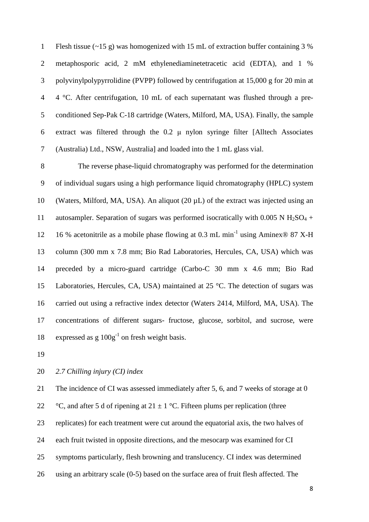Flesh tissue (~15 g) was homogenized with 15 mL of extraction buffer containing 3 % metaphosporic acid, 2 mM ethylenediaminetetracetic acid (EDTA), and 1 % polyvinylpolypyrrolidine (PVPP) followed by centrifugation at 15,000 g for 20 min at 4 °C. After centrifugation, 10 mL of each supernatant was flushed through a pre- conditioned Sep-Pak C-18 cartridge (Waters, Milford, MA, USA). Finally, the sample 6 extract was filtered through the  $0.2 \mu$  nylon syringe filter [Alltech Associates (Australia) Ltd., NSW, Australia] and loaded into the 1 mL glass vial.

 The reverse phase-liquid chromatography was performed for the determination of individual sugars using a high performance liquid chromatography (HPLC) system (Waters, Milford, MA, USA). An aliquot (20 µL) of the extract was injected using an 11 autosampler. Separation of sugars was performed isocratically with 0.005 N  $H_2SO_4$  + 12 16 % acetonitrile as a mobile phase flowing at 0.3 mL min<sup>-1</sup> using Aminex<sup>®</sup> 87 X-H column (300 mm x 7.8 mm; Bio Rad Laboratories, Hercules, CA, USA) which was preceded by a micro-guard cartridge (Carbo-C 30 mm x 4.6 mm; Bio Rad Laboratories, Hercules, CA, USA) maintained at 25 °C. The detection of sugars was carried out using a refractive index detector (Waters 2414, Milford, MA, USA). The concentrations of different sugars- fructose, glucose, sorbitol, and sucrose, were 18 expressed as g  $100g^{-1}$  on fresh weight basis.

### *2.7 Chilling injury (CI) index*

21 The incidence of CI was assessed immediately after 5, 6, and 7 weeks of storage at 0 22 °C, and after 5 d of ripening at  $21 \pm 1$  °C. Fifteen plums per replication (three replicates) for each treatment were cut around the equatorial axis, the two halves of each fruit twisted in opposite directions, and the mesocarp was examined for CI symptoms particularly, flesh browning and translucency. CI index was determined using an arbitrary scale (0-5) based on the surface area of fruit flesh affected. The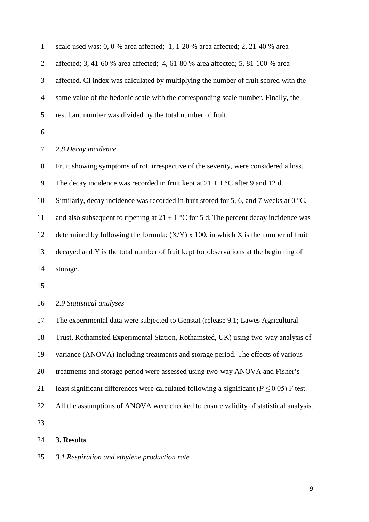| $\mathbf{1}$   | scale used was: 0, 0 % area affected; 1, 1-20 % area affected; 2, 21-40 % area                   |
|----------------|--------------------------------------------------------------------------------------------------|
| $\overline{2}$ | affected; 3, 41-60 % area affected; 4, 61-80 % area affected; 5, 81-100 % area                   |
| 3              | affected. CI index was calculated by multiplying the number of fruit scored with the             |
| $\overline{4}$ | same value of the hedonic scale with the corresponding scale number. Finally, the                |
| 5              | resultant number was divided by the total number of fruit.                                       |
| 6              |                                                                                                  |
| 7              | 2.8 Decay incidence                                                                              |
| 8              | Fruit showing symptoms of rot, irrespective of the severity, were considered a loss.             |
| 9              | The decay incidence was recorded in fruit kept at $21 \pm 1$ °C after 9 and 12 d.                |
| 10             | Similarly, decay incidence was recorded in fruit stored for 5, 6, and 7 weeks at 0 $^{\circ}C$ , |
| 11             | and also subsequent to ripening at $21 \pm 1$ °C for 5 d. The percent decay incidence was        |
| 12             | determined by following the formula: $(X/Y)$ x 100, in which X is the number of fruit            |
| 13             | decayed and Y is the total number of fruit kept for observations at the beginning of             |
| 14             | storage.                                                                                         |
| 15             |                                                                                                  |
| 16             | 2.9 Statistical analyses                                                                         |
| 17             | The experimental data were subjected to Genstat (release 9.1; Lawes Agricultural                 |
| 18             | Trust, Rothamsted Experimental Station, Rothamsted, UK) using two-way analysis of                |
| 19             | variance (ANOVA) including treatments and storage period. The effects of various                 |
| 20             | treatments and storage period were assessed using two-way ANOVA and Fisher's                     |
| 21             | least significant differences were calculated following a significant ( $P \le 0.05$ ) F test.   |
| 22             | All the assumptions of ANOVA were checked to ensure validity of statistical analysis.            |
| 23             |                                                                                                  |
| 24             | 3. Results                                                                                       |

*3.1 Respiration and ethylene production rate*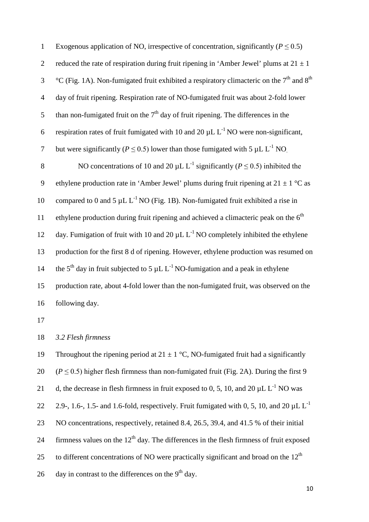| $\mathbf{1}$   | Exogenous application of NO, irrespective of concentration, significantly ( $P \le 0.5$ )                    |
|----------------|--------------------------------------------------------------------------------------------------------------|
| $\overline{2}$ | reduced the rate of respiration during fruit ripening in 'Amber Jewel' plums at $21 \pm 1$                   |
| 3              | °C (Fig. 1A). Non-fumigated fruit exhibited a respiratory climacteric on the $7th$ and $8th$                 |
| $\overline{4}$ | day of fruit ripening. Respiration rate of NO-fumigated fruit was about 2-fold lower                         |
| 5              | than non-fumigated fruit on the $7th$ day of fruit ripening. The differences in the                          |
| 6              | respiration rates of fruit fumigated with 10 and 20 $\mu$ L L <sup>-1</sup> NO were non-significant,         |
| $\tau$         | but were significantly ( $P \le 0.5$ ) lower than those fumigated with 5 µL L <sup>-1</sup> NO.              |
| 8              | NO concentrations of 10 and 20 $\mu$ L L <sup>-1</sup> significantly ( $P \le 0.5$ ) inhibited the           |
| 9              | ethylene production rate in 'Amber Jewel' plums during fruit ripening at $21 \pm 1$ °C as                    |
| 10             | compared to 0 and 5 $\mu$ L L <sup>-1</sup> NO (Fig. 1B). Non-fumigated fruit exhibited a rise in            |
| 11             | ethylene production during fruit ripening and achieved a climacteric peak on the $6th$                       |
| 12             | day. Fumigation of fruit with 10 and 20 $\mu$ L L <sup>-1</sup> NO completely inhibited the ethylene         |
| 13             | production for the first 8 d of ripening. However, ethylene production was resumed on                        |
| 14             | the 5 <sup>th</sup> day in fruit subjected to 5 $\mu$ L L <sup>-1</sup> NO-fumigation and a peak in ethylene |
| 15             | production rate, about 4-fold lower than the non-fumigated fruit, was observed on the                        |
| 16             | following day.                                                                                               |
| 17             |                                                                                                              |

*3.2 Flesh firmness*

19 Throughout the ripening period at  $21 \pm 1$  °C, NO-fumigated fruit had a significantly 20  $(P \le 0.5)$  higher flesh firmness than non-fumigated fruit (Fig. 2A). During the first 9 21 d, the decrease in flesh firmness in fruit exposed to 0, 5, 10, and 20  $\mu$ L L<sup>-1</sup> NO was 2.9-, 1.6-, 1.5- and 1.6-fold, respectively. Fruit fumigated with 0, 5, 10, and 20  $\mu$ L L<sup>-1</sup> NO concentrations, respectively, retained 8.4, 26.5, 39.4, and 41.5 % of their initial 24 firmness values on the  $12<sup>th</sup>$  day. The differences in the flesh firmness of fruit exposed 25 to different concentrations of NO were practically significant and broad on the  $12<sup>th</sup>$ 26 day in contrast to the differences on the  $9<sup>th</sup>$  day.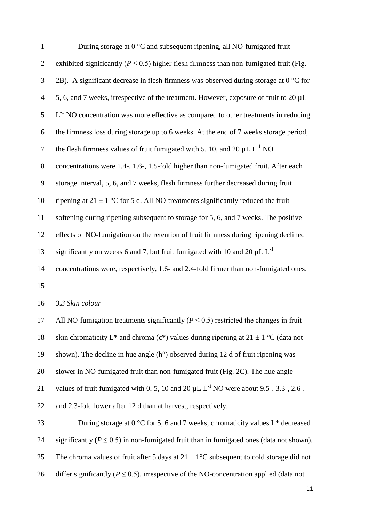| $\mathbf{1}$   | During storage at $0^{\circ}$ C and subsequent ripening, all NO-fumigated fruit                                 |
|----------------|-----------------------------------------------------------------------------------------------------------------|
| $\overline{2}$ | exhibited significantly ( $P \le 0.5$ ) higher flesh firmness than non-fumigated fruit (Fig.                    |
| 3              | 2B). A significant decrease in flesh firmness was observed during storage at $0^{\circ}$ C for                  |
| $\overline{4}$ | 5, 6, and 7 weeks, irrespective of the treatment. However, exposure of fruit to 20 µL                           |
| 5              | $L^{-1}$ NO concentration was more effective as compared to other treatments in reducing                        |
| 6              | the firmness loss during storage up to 6 weeks. At the end of 7 weeks storage period,                           |
| $\tau$         | the flesh firmness values of fruit fumigated with 5, 10, and 20 $\mu$ L L <sup>-1</sup> NO                      |
| $8\,$          | concentrations were 1.4-, 1.6-, 1.5-fold higher than non-fumigated fruit. After each                            |
| 9              | storage interval, 5, 6, and 7 weeks, flesh firmness further decreased during fruit                              |
| 10             | ripening at $21 \pm 1$ °C for 5 d. All NO-treatments significantly reduced the fruit                            |
| 11             | softening during ripening subsequent to storage for 5, 6, and 7 weeks. The positive                             |
| 12             | effects of NO-fumigation on the retention of fruit firmness during ripening declined                            |
| 13             | significantly on weeks 6 and 7, but fruit fumigated with 10 and 20 $\mu$ L L <sup>-1</sup>                      |
| 14             | concentrations were, respectively, 1.6- and 2.4-fold firmer than non-fumigated ones.                            |
| 15             |                                                                                                                 |
| 16             | 3.3 Skin colour                                                                                                 |
| 17             | All NO-fumigation treatments significantly ( $P \le 0.5$ ) restricted the changes in fruit                      |
| 18             | skin chromaticity L <sup>*</sup> and chroma (c <sup>*</sup> ) values during ripening at $21 \pm 1$ °C (data not |
| 19             | shown). The decline in hue angle $(h^{\circ})$ observed during 12 d of fruit ripening was                       |
| 20             | slower in NO-fumigated fruit than non-fumigated fruit (Fig. 2C). The hue angle                                  |
| 21             | values of fruit fumigated with 0, 5, 10 and 20 $\mu$ L L <sup>-1</sup> NO were about 9.5-, 3.3-, 2.6-,          |
| 22             | and 2.3-fold lower after 12 d than at harvest, respectively.                                                    |
| 23             | During storage at $0^{\circ}$ C for 5, 6 and 7 weeks, chromaticity values L <sup>*</sup> decreased              |
| 24             | significantly ( $P \le 0.5$ ) in non-fumigated fruit than in fumigated ones (data not shown).                   |
| 25             | The chroma values of fruit after 5 days at $21 \pm 1$ °C subsequent to cold storage did not                     |
|                |                                                                                                                 |

26 differ significantly ( $P \le 0.5$ ), irrespective of the NO-concentration applied (data not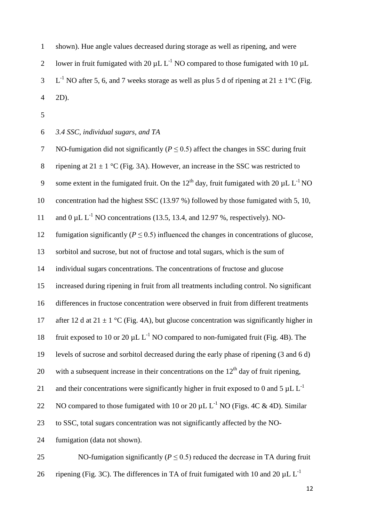shown). Hue angle values decreased during storage as well as ripening, and were 2 lower in fruit fumigated with 20  $\mu$ L L<sup>-1</sup> NO compared to those fumigated with 10  $\mu$ L 3 L<sup>-1</sup> NO after 5, 6, and 7 weeks storage as well as plus 5 d of ripening at  $21 \pm 1$ °C (Fig. 2D).

*3.4 SSC, individual sugars, and TA*

| $\tau$       | NO-fumigation did not significantly ( $P \le 0.5$ ) affect the changes in SSC during fruit                          |
|--------------|---------------------------------------------------------------------------------------------------------------------|
| $8\,$        | ripening at $21 \pm 1$ °C (Fig. 3A). However, an increase in the SSC was restricted to                              |
| $\mathbf{9}$ | some extent in the fumigated fruit. On the 12 <sup>th</sup> day, fruit fumigated with 20 $\mu$ L L <sup>-1</sup> NO |
| 10           | concentration had the highest SSC (13.97 %) followed by those fumigated with 5, 10,                                 |
| 11           | and $0 \mu L L^{-1}$ NO concentrations (13.5, 13.4, and 12.97 %, respectively). NO-                                 |
| 12           | fumigation significantly ( $P \le 0.5$ ) influenced the changes in concentrations of glucose,                       |
| 13           | sorbitol and sucrose, but not of fructose and total sugars, which is the sum of                                     |
| 14           | individual sugars concentrations. The concentrations of fructose and glucose                                        |
| 15           | increased during ripening in fruit from all treatments including control. No significant                            |
| 16           | differences in fructose concentration were observed in fruit from different treatments                              |
| 17           | after 12 d at 21 $\pm$ 1 °C (Fig. 4A), but glucose concentration was significantly higher in                        |
| 18           | fruit exposed to 10 or 20 $\mu$ L L <sup>-1</sup> NO compared to non-fumigated fruit (Fig. 4B). The                 |
| 19           | levels of sucrose and sorbitol decreased during the early phase of ripening (3 and 6 d)                             |
| 20           | with a subsequent increase in their concentrations on the $12th$ day of fruit ripening,                             |
| 21           | and their concentrations were significantly higher in fruit exposed to 0 and 5 $\mu$ L L <sup>-1</sup>              |
| 22           | NO compared to those fumigated with 10 or 20 $\mu$ L L <sup>-1</sup> NO (Figs. 4C & 4D). Similar                    |
| 23           | to SSC, total sugars concentration was not significantly affected by the NO-                                        |
| 24           | fumigation (data not shown).                                                                                        |
| 25           | NO-fumigation significantly ( $P \le 0.5$ ) reduced the decrease in TA during fruit                                 |
| 26           | ripening (Fig. 3C). The differences in TA of fruit fumigated with 10 and 20 $\mu$ L L <sup>-1</sup>                 |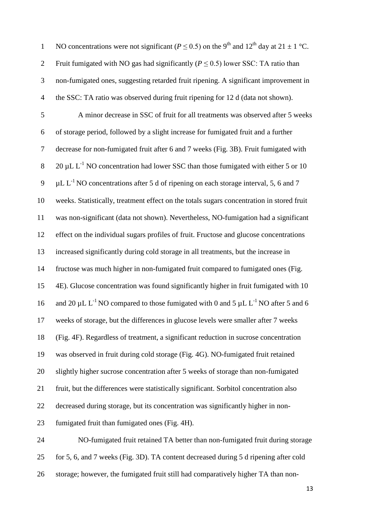| $\mathbf{1}$   | NO concentrations were not significant ( $P \le 0.5$ ) on the 9 <sup>th</sup> and 12 <sup>th</sup> day at 21 $\pm$ 1 °C. |
|----------------|--------------------------------------------------------------------------------------------------------------------------|
| $\overline{2}$ | Fruit fumigated with NO gas had significantly ( $P \le 0.5$ ) lower SSC: TA ratio than                                   |
| 3              | non-fumigated ones, suggesting retarded fruit ripening. A significant improvement in                                     |
| $\overline{4}$ | the SSC: TA ratio was observed during fruit ripening for 12 d (data not shown).                                          |
| 5              | A minor decrease in SSC of fruit for all treatments was observed after 5 weeks                                           |
| 6              | of storage period, followed by a slight increase for fumigated fruit and a further                                       |
| $\tau$         | decrease for non-fumigated fruit after 6 and 7 weeks (Fig. 3B). Fruit fumigated with                                     |
| $8\,$          | $20 \mu L L^{-1}$ NO concentration had lower SSC than those fumigated with either 5 or 10                                |
| 9              | $\mu$ L L <sup>-1</sup> NO concentrations after 5 d of ripening on each storage interval, 5, 6 and 7                     |
| 10             | weeks. Statistically, treatment effect on the totals sugars concentration in stored fruit                                |
| 11             | was non-significant (data not shown). Nevertheless, NO-fumigation had a significant                                      |
| 12             | effect on the individual sugars profiles of fruit. Fructose and glucose concentrations                                   |
| 13             | increased significantly during cold storage in all treatments, but the increase in                                       |
| 14             | fructose was much higher in non-fumigated fruit compared to fumigated ones (Fig.                                         |
| 15             | 4E). Glucose concentration was found significantly higher in fruit fumigated with 10                                     |
| 16             | and 20 $\mu$ L L <sup>-1</sup> NO compared to those fumigated with 0 and 5 $\mu$ L L <sup>-1</sup> NO after 5 and 6      |
| 17             | weeks of storage, but the differences in glucose levels were smaller after 7 weeks                                       |
| 18             | (Fig. 4F). Regardless of treatment, a significant reduction in sucrose concentration                                     |
| 19             | was observed in fruit during cold storage (Fig. 4G). NO-fumigated fruit retained                                         |
| 20             | slightly higher sucrose concentration after 5 weeks of storage than non-fumigated                                        |
| 21             | fruit, but the differences were statistically significant. Sorbitol concentration also                                   |
| 22             | decreased during storage, but its concentration was significantly higher in non-                                         |
| 23             | fumigated fruit than fumigated ones (Fig. 4H).                                                                           |
| 24             | NO-fumigated fruit retained TA better than non-fumigated fruit during storage                                            |
| 25             | for 5, 6, and 7 weeks (Fig. 3D). TA content decreased during 5 d ripening after cold                                     |

storage; however, the fumigated fruit still had comparatively higher TA than non-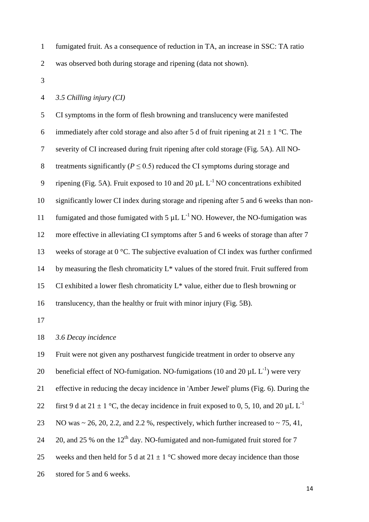- fumigated fruit. As a consequence of reduction in TA, an increase in SSC: TA ratio was observed both during storage and ripening (data not shown).
- 

#### *3.5 Chilling injury (CI)*

 CI symptoms in the form of flesh browning and translucency were manifested 6 immediately after cold storage and also after 5 d of fruit ripening at  $21 \pm 1$  °C. The severity of CI increased during fruit ripening after cold storage (Fig. 5A). All NO-8 treatments significantly  $(P \le 0.5)$  reduced the CI symptoms during storage and 9 ripening (Fig. 5A). Fruit exposed to 10 and 20  $\mu$ L L<sup>-1</sup> NO concentrations exhibited significantly lower CI index during storage and ripening after 5 and 6 weeks than non-11 fumigated and those fumigated with  $5 \mu L L^{-1}$  NO. However, the NO-fumigation was more effective in alleviating CI symptoms after 5 and 6 weeks of storage than after 7 weeks of storage at 0 °C. The subjective evaluation of CI index was further confirmed 14 by measuring the flesh chromaticity  $L^*$  values of the stored fruit. Fruit suffered from CI exhibited a lower flesh chromaticity L\* value, either due to flesh browning or translucency, than the healthy or fruit with minor injury (Fig. 5B).

### *3.6 Decay incidence*

Fruit were not given any postharvest fungicide treatment in order to observe any

20 beneficial effect of NO-fumigation. NO-fumigations (10 and 20  $\mu$ L L<sup>-1</sup>) were very

effective in reducing the decay incidence in 'Amber Jewel' plums (Fig. 6). During the

- 22 first 9 d at 21  $\pm$  1 °C, the decay incidence in fruit exposed to 0, 5, 10, and 20  $\mu$ L L<sup>-1</sup>
- 23 NO was  $\sim$  26, 20, 2.2, and 2.2 %, respectively, which further increased to  $\sim$  75, 41,
- 24 20, and 25 % on the  $12<sup>th</sup>$  day. NO-fumigated and non-fumigated fruit stored for 7
- 25 weeks and then held for 5 d at  $21 \pm 1$  °C showed more decay incidence than those
- stored for 5 and 6 weeks.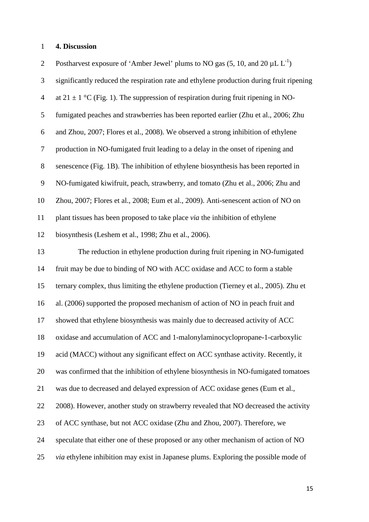#### **4. Discussion**

2 Postharvest exposure of 'Amber Jewel' plums to NO gas  $(5, 10, \text{ and } 20 \mu L L^{-1})$  significantly reduced the respiration rate and ethylene production during fruit ripening 4 at 21  $\pm$  1 °C (Fig. 1). The suppression of respiration during fruit ripening in NO- fumigated peaches and strawberries has been reported earlier (Zhu et al., 2006; Zhu and Zhou, 2007; Flores et al., 2008). We observed a strong inhibition of ethylene production in NO-fumigated fruit leading to a delay in the onset of ripening and senescence (Fig. 1B). The inhibition of ethylene biosynthesis has been reported in NO-fumigated kiwifruit, peach, strawberry, and tomato (Zhu et al., 2006; Zhu and Zhou, 2007; Flores et al., 2008; Eum et al., 2009). Anti-senescent action of NO on plant tissues has been proposed to take place *via* the inhibition of ethylene biosynthesis (Leshem et al., 1998; Zhu et al., 2006). The reduction in ethylene production during fruit ripening in NO-fumigated fruit may be due to binding of NO with ACC oxidase and ACC to form a stable ternary complex, thus limiting the ethylene production (Tierney et al., 2005). Zhu et al. (2006) supported the proposed mechanism of action of NO in peach fruit and showed that ethylene biosynthesis was mainly due to decreased activity of ACC oxidase and accumulation of ACC and 1-malonylaminocyclopropane-1-carboxylic acid (MACC) without any significant effect on ACC synthase activity. Recently, it was confirmed that the inhibition of ethylene biosynthesis in NO-fumigated tomatoes was due to decreased and delayed expression of ACC oxidase genes (Eum et al., 2008). However, another study on strawberry revealed that NO decreased the activity of ACC synthase, but not ACC oxidase (Zhu and Zhou, 2007). Therefore, we speculate that either one of these proposed or any other mechanism of action of NO *via* ethylene inhibition may exist in Japanese plums. Exploring the possible mode of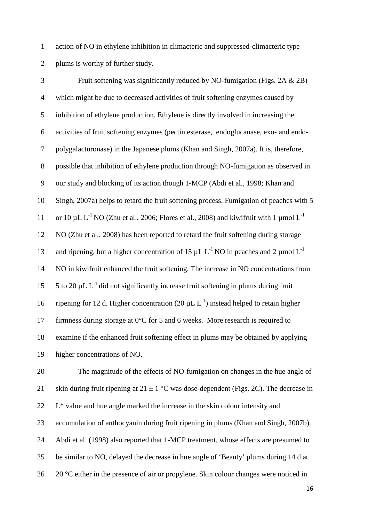action of NO in ethylene inhibition in climacteric and suppressed-climacteric type plums is worthy of further study.

 Fruit softening was significantly reduced by NO-fumigation (Figs. 2A & 2B) which might be due to decreased activities of fruit softening enzymes caused by inhibition of ethylene production. Ethylene is directly involved in increasing the activities of fruit softening enzymes (pectin esterase, endoglucanase, exo- and endo- polygalacturonase) in the Japanese plums (Khan and Singh, 2007a). It is, therefore, possible that inhibition of ethylene production through NO-fumigation as observed in our study and blocking of its action though 1-MCP (Abdi et al., 1998; Khan and Singh, 2007a) helps to retard the fruit softening process. Fumigation of peaches with 5 11 or 10  $\mu$ L L<sup>-1</sup> NO (Zhu et al., 2006; Flores et al., 2008) and kiwifruit with 1  $\mu$ mol L<sup>-1</sup> NO (Zhu et al., 2008) has been reported to retard the fruit softening during storage 13 and ripening, but a higher concentration of 15  $\mu$ L L<sup>-1</sup> NO in peaches and 2  $\mu$ mol L<sup>-1</sup> NO in kiwifruit enhanced the fruit softening. The increase in NO concentrations from 15 to 20  $\mu$ L L<sup>-1</sup> did not significantly increase fruit softening in plums during fruit 16 ripening for 12 d. Higher concentration (20  $\mu$ L L<sup>-1</sup>) instead helped to retain higher 17 firmness during storage at 0°C for 5 and 6 weeks. More research is required to examine if the enhanced fruit softening effect in plums may be obtained by applying higher concentrations of NO.

 The magnitude of the effects of NO-fumigation on changes in the hue angle of 21 skin during fruit ripening at  $21 \pm 1$  °C was dose-dependent (Figs. 2C). The decrease in L<sup>\*</sup> value and hue angle marked the increase in the skin colour intensity and accumulation of anthocyanin during fruit ripening in plums (Khan and Singh, 2007b). Abdi et al. (1998) also reported that 1-MCP treatment, whose effects are presumed to be similar to NO, delayed the decrease in hue angle of 'Beauty' plums during 14 d at 26 20 °C either in the presence of air or propylene. Skin colour changes were noticed in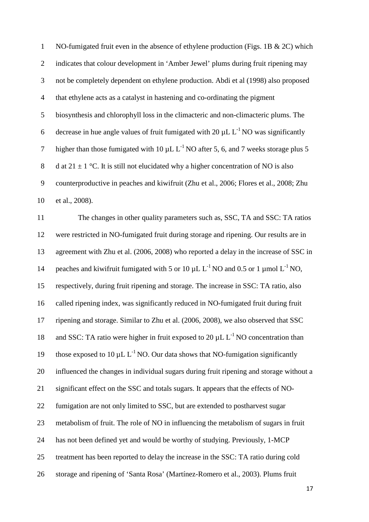NO-fumigated fruit even in the absence of ethylene production (Figs. 1B & 2C) which indicates that colour development in 'Amber Jewel' plums during fruit ripening may not be completely dependent on ethylene production. Abdi et al (1998) also proposed that ethylene acts as a catalyst in hastening and co-ordinating the pigment biosynthesis and chlorophyll loss in the climacteric and non-climacteric plums. The 6 decrease in hue angle values of fruit fumigated with 20  $\mu$ L L<sup>-1</sup> NO was significantly 7 higher than those fumigated with 10  $\mu$ L L<sup>-1</sup> NO after 5, 6, and 7 weeks storage plus 5 8 d at  $21 \pm 1$  °C. It is still not elucidated why a higher concentration of NO is also counterproductive in peaches and kiwifruit (Zhu et al., 2006; Flores et al., 2008; Zhu et al., 2008).

 The changes in other quality parameters such as, SSC, TA and SSC: TA ratios were restricted in NO-fumigated fruit during storage and ripening. Our results are in agreement with Zhu et al. (2006, 2008) who reported a delay in the increase of SSC in 14 peaches and kiwifruit fumigated with 5 or 10  $\mu$ L L<sup>-1</sup> NO and 0.5 or 1  $\mu$  mol L<sup>-1</sup> NO, respectively, during fruit ripening and storage. The increase in SSC: TA ratio, also called ripening index, was significantly reduced in NO-fumigated fruit during fruit ripening and storage. Similar to Zhu et al. (2006, 2008), we also observed that SSC 18 and SSC: TA ratio were higher in fruit exposed to 20  $\mu$ L L<sup>-1</sup> NO concentration than 19 those exposed to 10  $\mu$ L L<sup>-1</sup> NO. Our data shows that NO-fumigation significantly influenced the changes in individual sugars during fruit ripening and storage without a significant effect on the SSC and totals sugars. It appears that the effects of NO- fumigation are not only limited to SSC, but are extended to postharvest sugar metabolism of fruit. The role of NO in influencing the metabolism of sugars in fruit has not been defined yet and would be worthy of studying. Previously, 1-MCP treatment has been reported to delay the increase in the SSC: TA ratio during cold storage and ripening of 'Santa Rosa' (Martínez-Romero et al., 2003). Plums fruit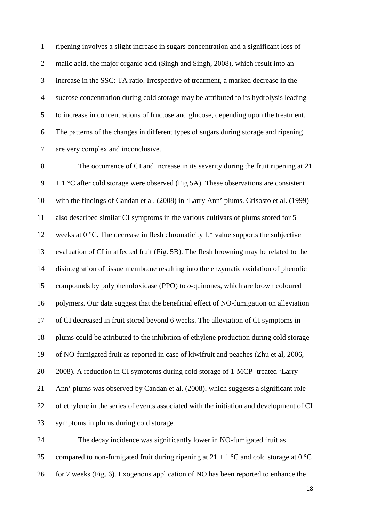ripening involves a slight increase in sugars concentration and a significant loss of malic acid, the major organic acid (Singh and Singh, 2008), which result into an increase in the SSC: TA ratio. Irrespective of treatment, a marked decrease in the sucrose concentration during cold storage may be attributed to its hydrolysis leading to increase in concentrations of fructose and glucose, depending upon the treatment. The patterns of the changes in different types of sugars during storage and ripening are very complex and inconclusive.

 The occurrence of CI and increase in its severity during the fruit ripening at 21  $\pm$  1 °C after cold storage were observed (Fig 5A). These observations are consistent with the findings of Candan et al. (2008) in 'Larry Ann' plums. Crisosto et al. (1999) also described similar CI symptoms in the various cultivars of plums stored for 5 12 weeks at  $0^{\circ}$ C. The decrease in flesh chromaticity  $L^*$  value supports the subjective evaluation of CI in affected fruit (Fig. 5B). The flesh browning may be related to the disintegration of tissue membrane resulting into the enzymatic oxidation of phenolic compounds by polyphenoloxidase (PPO) to *o*-quinones, which are brown coloured polymers. Our data suggest that the beneficial effect of NO-fumigation on alleviation of CI decreased in fruit stored beyond 6 weeks. The alleviation of CI symptoms in plums could be attributed to the inhibition of ethylene production during cold storage of NO-fumigated fruit as reported in case of kiwifruit and peaches (Zhu et al, 2006, 2008). A reduction in CI symptoms during cold storage of 1-MCP- treated 'Larry Ann' plums was observed by Candan et al. (2008), which suggests a significant role of ethylene in the series of events associated with the initiation and development of CI symptoms in plums during cold storage.

 The decay incidence was significantly lower in NO-fumigated fruit as 25 compared to non-fumigated fruit during ripening at  $21 \pm 1$  °C and cold storage at 0 °C 26 for 7 weeks (Fig. 6). Exogenous application of NO has been reported to enhance the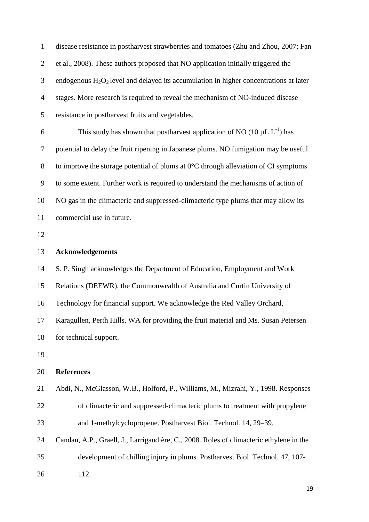disease resistance in postharvest strawberries and tomatoes (Zhu and Zhou, 2007; Fan et al., 2008). These authors proposed that NO application initially triggered the endogenous  $H_2O_2$  level and delayed its accumulation in higher concentrations at later stages. More research is required to reveal the mechanism of NO-induced disease resistance in postharvest fruits and vegetables. 6 This study has shown that postharvest application of NO (10  $\mu$ L L<sup>-1</sup>) has potential to delay the fruit ripening in Japanese plums. NO fumigation may be useful 8 to improve the storage potential of plums at  $0^{\circ}$ C through alleviation of CI symptoms to some extent. Further work is required to understand the mechanisms of action of NO gas in the climacteric and suppressed-climacteric type plums that may allow its commercial use in future. **Acknowledgements** S. P. Singh acknowledges the Department of Education, Employment and Work Relations (DEEWR), the Commonwealth of Australia and Curtin University of Technology for financial support. We acknowledge the Red Valley Orchard, Karagullen, Perth Hills, WA for providing the fruit material and Ms. Susan Petersen for technical support. **References** Abdi, N., McGlasson, W.B., Holford, P., Williams, M., Mizrahi, Y., 1998. Responses of climacteric and suppressed-climacteric plums to treatment with propylene and 1-methylcyclopropene. Postharvest Biol. Technol. 14, 29–39. Candan, A.P., Graell, J., Larrigaudière, C., 2008. Roles of climacteric ethylene in the development of chilling injury in plums. Postharvest Biol. Technol. 47, 107- 112.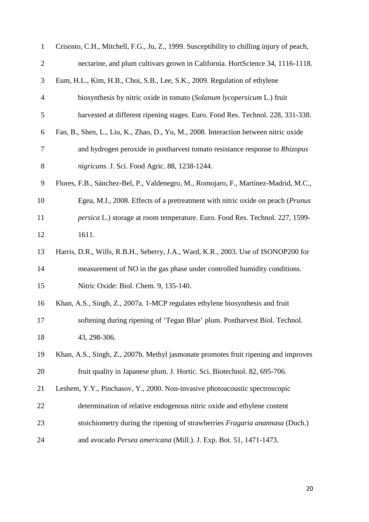| $\mathbf{1}$     | Crisosto, C.H., Mitchell, F.G., Ju, Z., 1999. Susceptibility to chilling injury of peach, |
|------------------|-------------------------------------------------------------------------------------------|
| $\mathbf{2}$     | nectarine, and plum cultivars grown in California. HortScience 34, 1116-1118.             |
| 3                | Eum, H.L., Kim, H.B., Choi, S.B., Lee, S.K., 2009. Regulation of ethylene                 |
| 4                | biosynthesis by nitric oxide in tomato (Solanum lycopersicum L.) fruit                    |
| 5                | harvested at different ripening stages. Euro. Food Res. Technol. 228, 331-338.            |
| 6                | Fan, B., Shen, L., Liu, K., Zhao, D., Yu, M., 2008. Interaction between nitric oxide      |
| 7                | and hydrogen peroxide in postharvest tomato resistance response to Rhizopus               |
| $8\,$            | nigricans. J. Sci. Food Agric. 88, 1238-1244.                                             |
| $\boldsymbol{9}$ | Flores, F.B., Sánchez-Bel, P., Valdenegro, M., Romojaro, F., Martínez-Madrid, M.C.,       |
| 10               | Egea, M.I., 2008. Effects of a pretreatment with nitric oxide on peach (Prunus            |
| 11               | persica L.) storage at room temperature. Euro. Food Res. Technol. 227, 1599-              |
| 12               | 1611.                                                                                     |
| 13               | Harris, D.R., Wills, R.B.H., Seberry, J.A., Ward, K.R., 2003. Use of ISONOP200 for        |
| 14               | measurement of NO in the gas phase under controlled humidity conditions.                  |
| 15               | Nitric Oxide: Biol. Chem. 9, 135-140.                                                     |
| 16               | Khan, A.S., Singh, Z., 2007a. 1-MCP regulates ethylene biosynthesis and fruit             |
| 17               | softening during ripening of 'Tegan Blue' plum. Postharvest Biol. Technol.                |
| 18               | 43, 298-306.                                                                              |
| 19               | Khan, A.S., Singh, Z., 2007b. Methyl jasmonate promotes fruit ripening and improves       |
| 20               | fruit quality in Japanese plum. J. Hortic. Sci. Biotechnol. 82, 695-706.                  |
| 21               | Leshem, Y.Y., Pinchasov, Y., 2000. Non-invasive photoacoustic spectroscopic               |
| 22               | determination of relative endogenous nitric oxide and ethylene content                    |
| 23               | stoichiometry during the ripening of strawberries Fragaria anannasa (Duch.)               |
| 24               | and avocado Persea americana (Mill.). J. Exp. Bot. 51, 1471-1473.                         |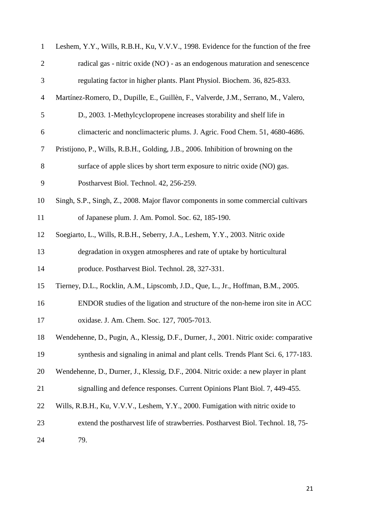| $\mathbf{1}$   | Leshem, Y.Y., Wills, R.B.H., Ku, V.V.V., 1998. Evidence for the function of the free  |
|----------------|---------------------------------------------------------------------------------------|
| $\overline{2}$ | radical gas - nitric oxide (NO) - as an endogenous maturation and senescence          |
| 3              | regulating factor in higher plants. Plant Physiol. Biochem. 36, 825-833.              |
| $\overline{4}$ | Martínez-Romero, D., Dupille, E., Guillèn, F., Valverde, J.M., Serrano, M., Valero,   |
| 5              | D., 2003. 1-Methylcyclopropene increases storability and shelf life in                |
| 6              | climacteric and nonclimacteric plums. J. Agric. Food Chem. 51, 4680-4686.             |
| 7              | Pristijono, P., Wills, R.B.H., Golding, J.B., 2006. Inhibition of browning on the     |
| 8              | surface of apple slices by short term exposure to nitric oxide (NO) gas.              |
| 9              | Postharvest Biol. Technol. 42, 256-259.                                               |
| 10             | Singh, S.P., Singh, Z., 2008. Major flavor components in some commercial cultivars    |
| 11             | of Japanese plum. J. Am. Pomol. Soc. 62, 185-190.                                     |
| 12             | Soegiarto, L., Wills, R.B.H., Seberry, J.A., Leshem, Y.Y., 2003. Nitric oxide         |
| 13             | degradation in oxygen atmospheres and rate of uptake by horticultural                 |
| 14             | produce. Postharvest Biol. Technol. 28, 327-331.                                      |
| 15             | Tierney, D.L., Rocklin, A.M., Lipscomb, J.D., Que, L., Jr., Hoffman, B.M., 2005.      |
| 16             | ENDOR studies of the ligation and structure of the non-heme iron site in ACC          |
| 17             | oxidase. J. Am. Chem. Soc. 127, 7005-7013.                                            |
| 18             | Wendehenne, D., Pugin, A., Klessig, D.F., Durner, J., 2001. Nitric oxide: comparative |
| 19             | synthesis and signaling in animal and plant cells. Trends Plant Sci. 6, 177-183.      |
| 20             | Wendehenne, D., Durner, J., Klessig, D.F., 2004. Nitric oxide: a new player in plant  |
| 21             | signalling and defence responses. Current Opinions Plant Biol. 7, 449-455.            |
| 22             | Wills, R.B.H., Ku, V.V.V., Leshem, Y.Y., 2000. Fumigation with nitric oxide to        |
| 23             | extend the postharvest life of strawberries. Postharvest Biol. Technol. 18, 75-       |
| 24             | 79.                                                                                   |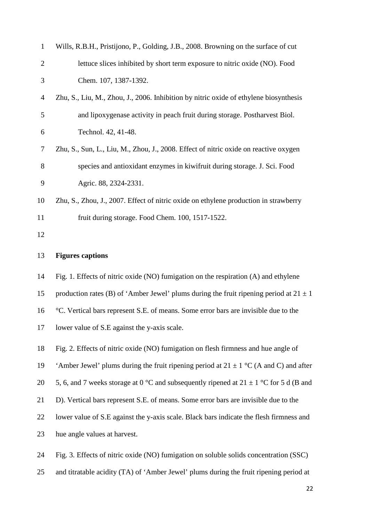| $\mathbf{1}$   | Wills, R.B.H., Pristijono, P., Golding, J.B., 2008. Browning on the surface of cut         |
|----------------|--------------------------------------------------------------------------------------------|
| $\overline{2}$ | lettuce slices inhibited by short term exposure to nitric oxide (NO). Food                 |
| 3              | Chem. 107, 1387-1392.                                                                      |
| 4              | Zhu, S., Liu, M., Zhou, J., 2006. Inhibition by nitric oxide of ethylene biosynthesis      |
| 5              | and lipoxygenase activity in peach fruit during storage. Postharvest Biol.                 |
| 6              | Technol. 42, 41-48.                                                                        |
| 7              | Zhu, S., Sun, L., Liu, M., Zhou, J., 2008. Effect of nitric oxide on reactive oxygen       |
| 8              | species and antioxidant enzymes in kiwifruit during storage. J. Sci. Food                  |
| 9              | Agric. 88, 2324-2331.                                                                      |
| 10             | Zhu, S., Zhou, J., 2007. Effect of nitric oxide on ethylene production in strawberry       |
| 11             | fruit during storage. Food Chem. 100, 1517-1522.                                           |
| 12             |                                                                                            |
|                |                                                                                            |
| 13             | <b>Figures captions</b>                                                                    |
| 14             | Fig. 1. Effects of nitric oxide (NO) fumigation on the respiration (A) and ethylene        |
| 15             | production rates (B) of 'Amber Jewel' plums during the fruit ripening period at $21 \pm 1$ |
| 16             | °C. Vertical bars represent S.E. of means. Some error bars are invisible due to the        |
| 17             | lower value of S.E against the y-axis scale.                                               |
| 18             | Fig. 2. Effects of nitric oxide (NO) fumigation on flesh firmness and hue angle of         |
| 19             | 'Amber Jewel' plums during the fruit ripening period at $21 \pm 1$ °C (A and C) and after  |
| 20             | 5, 6, and 7 weeks storage at 0 °C and subsequently ripened at 21 $\pm$ 1 °C for 5 d (B and |
| 21             | D). Vertical bars represent S.E. of means. Some error bars are invisible due to the        |
| 22             | lower value of S.E against the y-axis scale. Black bars indicate the flesh firmness and    |
| 23             | hue angle values at harvest.                                                               |

and titratable acidity (TA) of 'Amber Jewel' plums during the fruit ripening period at